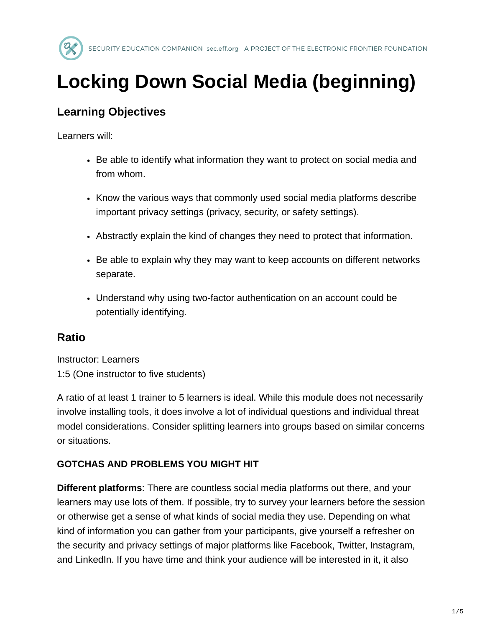

# **Locking Down Social Media (beginning)**

# **Learning Objectives**

Learners will:

- Be able to identify what information they want to protect on social media and from whom.
- Know the various ways that commonly used social media platforms describe important privacy settings (privacy, security, or safety settings).
- Abstractly explain the kind of changes they need to protect that information.
- Be able to explain why they may want to keep accounts on different networks separate.
- Understand why using two-factor authentication on an account could be potentially identifying.

# **Ratio**

Instructor: Learners 1:5 (One instructor to five students)

A ratio of at least 1 trainer to 5 learners is ideal. While this module does not necessarily involve installing tools, it does involve a lot of individual questions and individual threat model considerations. Consider splitting learners into groups based on similar concerns or situations.

# **GOTCHAS AND PROBLEMS YOU MIGHT HIT**

**Different platforms**: There are countless social media platforms out there, and your learners may use lots of them. If possible, try to survey your learners before the session or otherwise get a sense of what kinds of social media they use. Depending on what kind of information you can gather from your participants, give yourself a refresher on the security and privacy settings of major platforms like Facebook, Twitter, Instagram, and LinkedIn. If you have time and think your audience will be interested in it, it also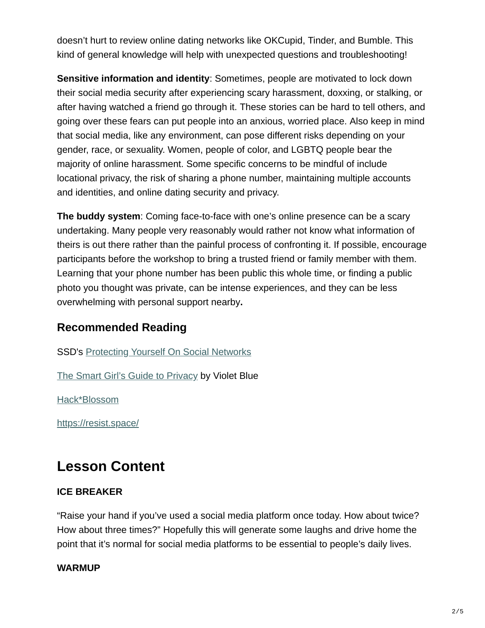doesn't hurt to review online dating networks like OKCupid, Tinder, and Bumble. This kind of general knowledge will help with unexpected questions and troubleshooting!

**Sensitive information and identity**: Sometimes, people are motivated to lock down their social media security after experiencing scary harassment, doxxing, or stalking, or after having watched a friend go through it. These stories can be hard to tell others, and going over these fears can put people into an anxious, worried place. Also keep in mind that social media, like any environment, can pose different risks depending on your gender, race, or sexuality. Women, people of color, and LGBTQ people bear the majority of online harassment. Some specific concerns to be mindful of include locational privacy, the risk of sharing a phone number, maintaining multiple accounts and identities, and online dating security and privacy.

**The buddy system**: Coming face-to-face with one's online presence can be a scary undertaking. Many people very reasonably would rather not know what information of theirs is out there rather than the painful process of confronting it. If possible, encourage participants before the workshop to bring a trusted friend or family member with them. Learning that your phone number has been public this whole time, or finding a public photo you thought was private, can be intense experiences, and they can be less overwhelming with personal support nearby**.**

# **Recommended Reading**

SSD's [Protecting Yourself On Social Networks](https://ssd.eff.org/en/module/protecting-yourself-social-networks)

[The Smart Girl's Guide to Privacy](https://www.amazon.com/Smart-Girls-Guide-Privacy-Rest-ebook/dp/B00JBV3C6S) by Violet Blue

[Hack\\*Blossom](https://hackblossom.org/resources/)

<https://resist.space/>

# **Lesson Content**

#### **ICE BREAKER**

"Raise your hand if you've used a social media platform once today. How about twice? How about three times?" Hopefully this will generate some laughs and drive home the point that it's normal for social media platforms to be essential to people's daily lives.

#### **WARMUP**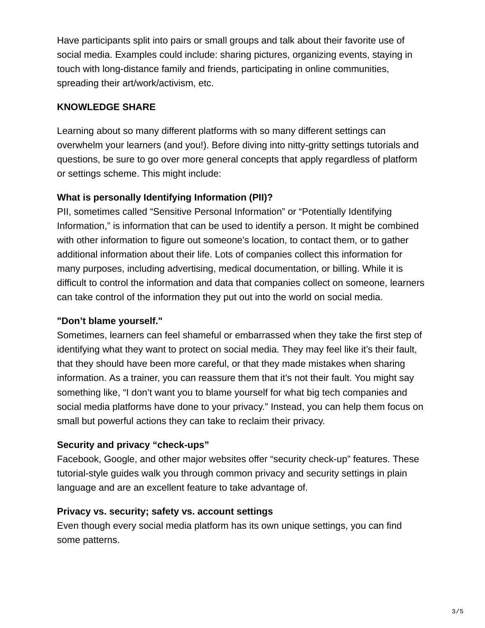Have participants split into pairs or small groups and talk about their favorite use of social media. Examples could include: sharing pictures, organizing events, staying in touch with long-distance family and friends, participating in online communities, spreading their art/work/activism, etc.

## **KNOWLEDGE SHARE**

Learning about so many different platforms with so many different settings can overwhelm your learners (and you!). Before diving into nitty-gritty settings tutorials and questions, be sure to go over more general concepts that apply regardless of platform or settings scheme. This might include:

# **What is personally Identifying Information (PII)?**

PII, sometimes called "Sensitive Personal Information" or "Potentially Identifying Information," is information that can be used to identify a person. It might be combined with other information to figure out someone's location, to contact them, or to gather additional information about their life. Lots of companies collect this information for many purposes, including advertising, medical documentation, or billing. While it is difficult to control the information and data that companies collect on someone, learners can take control of the information they put out into the world on social media.

# **"Don't blame yourself."**

Sometimes, learners can feel shameful or embarrassed when they take the first step of identifying what they want to protect on social media. They may feel like it's their fault, that they should have been more careful, or that they made mistakes when sharing information. As a trainer, you can reassure them that it's not their fault. You might say something like, "I don't want you to blame yourself for what big tech companies and social media platforms have done to your privacy." Instead, you can help them focus on small but powerful actions they can take to reclaim their privacy.

# **Security and privacy "check-ups"**

Facebook, Google, and other major websites offer "security check-up" features. These tutorial-style guides walk you through common privacy and security settings in plain language and are an excellent feature to take advantage of.

# **Privacy vs. security; safety vs. account settings**

Even though every social media platform has its own unique settings, you can find some patterns.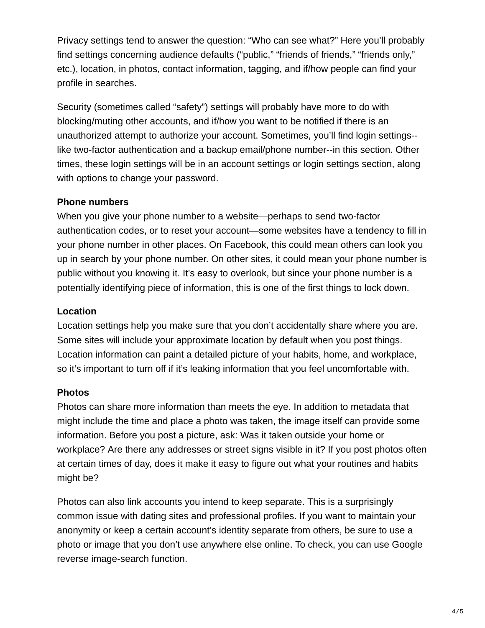Privacy settings tend to answer the question: "Who can see what?" Here you'll probably find settings concerning audience defaults ("public," "friends of friends," "friends only," etc.), location, in photos, contact information, tagging, and if/how people can find your profile in searches.

Security (sometimes called "safety") settings will probably have more to do with blocking/muting other accounts, and if/how you want to be notified if there is an unauthorized attempt to authorize your account. Sometimes, you'll find login settings- like two-factor authentication and a backup email/phone number--in this section. Other times, these login settings will be in an account settings or login settings section, along with options to change your password.

#### **Phone numbers**

When you give your phone number to a website—perhaps to send two-factor authentication codes, or to reset your account—some websites have a tendency to fill in your phone number in other places. On Facebook, this could mean others can look you up in search by your phone number. On other sites, it could mean your phone number is public without you knowing it. It's easy to overlook, but since your phone number is a potentially identifying piece of information, this is one of the first things to lock down.

## **Location**

Location settings help you make sure that you don't accidentally share where you are. Some sites will include your approximate location by default when you post things. Location information can paint a detailed picture of your habits, home, and workplace, so it's important to turn off if it's leaking information that you feel uncomfortable with.

#### **Photos**

Photos can share more information than meets the eye. In addition to metadata that might include the time and place a photo was taken, the image itself can provide some information. Before you post a picture, ask: Was it taken outside your home or workplace? Are there any addresses or street signs visible in it? If you post photos often at certain times of day, does it make it easy to figure out what your routines and habits might be?

Photos can also link accounts you intend to keep separate. This is a surprisingly common issue with dating sites and professional profiles. If you want to maintain your anonymity or keep a certain account's identity separate from others, be sure to use a photo or image that you don't use anywhere else online. To check, you can use Google reverse image-search function.